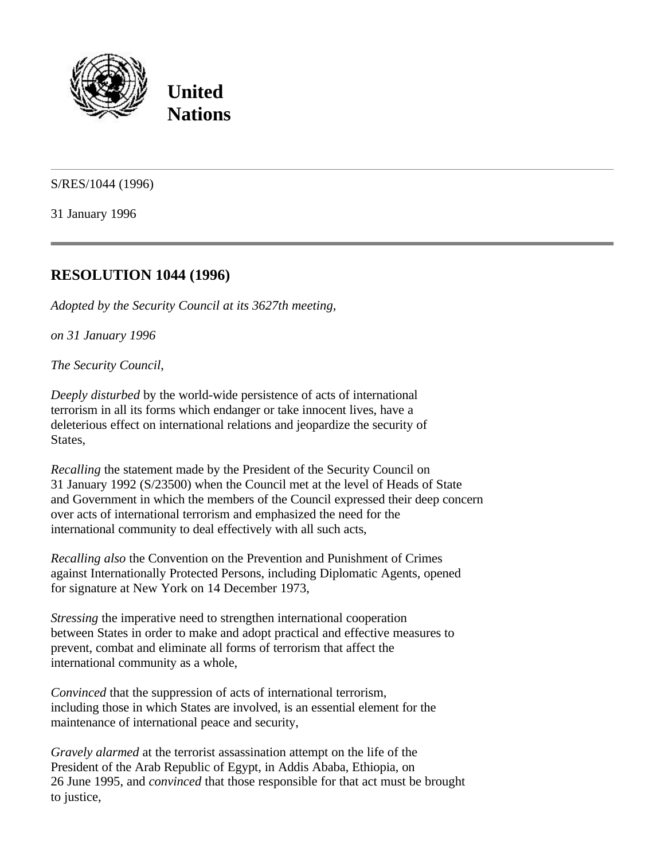

**United Nations**

S/RES/1044 (1996)

31 January 1996

## **RESOLUTION 1044 (1996)**

*Adopted by the Security Council at its 3627th meeting*,

*on 31 January 1996*

*The Security Council*,

*Deeply disturbed* by the world-wide persistence of acts of international terrorism in all its forms which endanger or take innocent lives, have a deleterious effect on international relations and jeopardize the security of States,

*Recalling* the statement made by the President of the Security Council on 31 January 1992 (S/23500) when the Council met at the level of Heads of State and Government in which the members of the Council expressed their deep concern over acts of international terrorism and emphasized the need for the international community to deal effectively with all such acts,

*Recalling also* the Convention on the Prevention and Punishment of Crimes against Internationally Protected Persons, including Diplomatic Agents, opened for signature at New York on 14 December 1973,

*Stressing* the imperative need to strengthen international cooperation between States in order to make and adopt practical and effective measures to prevent, combat and eliminate all forms of terrorism that affect the international community as a whole,

*Convinced* that the suppression of acts of international terrorism, including those in which States are involved, is an essential element for the maintenance of international peace and security,

*Gravely alarmed* at the terrorist assassination attempt on the life of the President of the Arab Republic of Egypt, in Addis Ababa, Ethiopia, on 26 June 1995, and *convinced* that those responsible for that act must be brought to justice,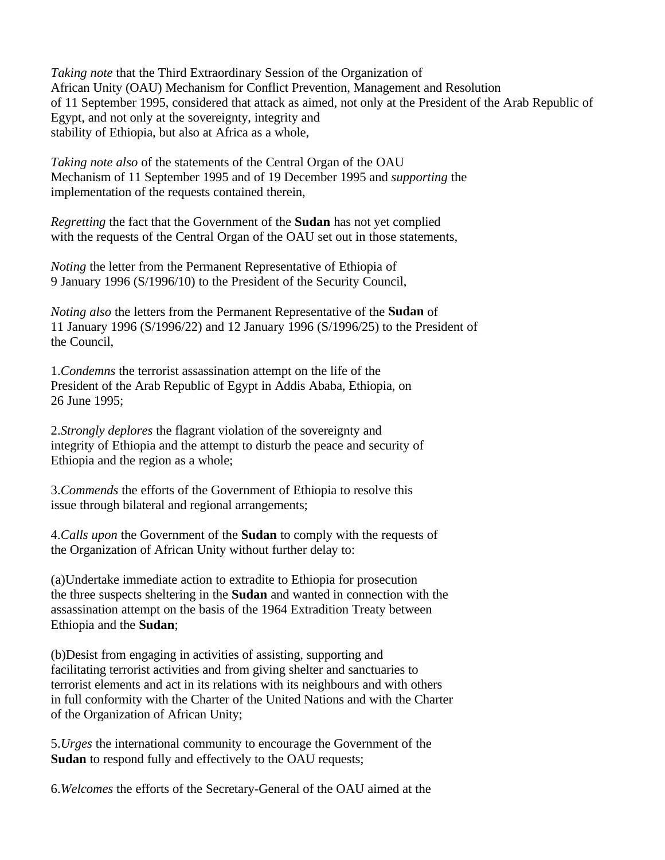*Taking note* that the Third Extraordinary Session of the Organization of African Unity (OAU) Mechanism for Conflict Prevention, Management and Resolution of 11 September 1995, considered that attack as aimed, not only at the President of the Arab Republic of Egypt, and not only at the sovereignty, integrity and stability of Ethiopia, but also at Africa as a whole,

*Taking note also* of the statements of the Central Organ of the OAU Mechanism of 11 September 1995 and of 19 December 1995 and *supporting* the implementation of the requests contained therein,

*Regretting* the fact that the Government of the **Sudan** has not yet complied with the requests of the Central Organ of the OAU set out in those statements,

*Noting* the letter from the Permanent Representative of Ethiopia of 9 January 1996 (S/1996/10) to the President of the Security Council,

*Noting also* the letters from the Permanent Representative of the **Sudan** of 11 January 1996 (S/1996/22) and 12 January 1996 (S/1996/25) to the President of the Council,

1.*Condemns* the terrorist assassination attempt on the life of the President of the Arab Republic of Egypt in Addis Ababa, Ethiopia, on 26 June 1995;

2.*Strongly deplores* the flagrant violation of the sovereignty and integrity of Ethiopia and the attempt to disturb the peace and security of Ethiopia and the region as a whole;

3.*Commends* the efforts of the Government of Ethiopia to resolve this issue through bilateral and regional arrangements;

4.*Calls upon* the Government of the **Sudan** to comply with the requests of the Organization of African Unity without further delay to:

(a)Undertake immediate action to extradite to Ethiopia for prosecution the three suspects sheltering in the **Sudan** and wanted in connection with the assassination attempt on the basis of the 1964 Extradition Treaty between Ethiopia and the **Sudan**;

(b)Desist from engaging in activities of assisting, supporting and facilitating terrorist activities and from giving shelter and sanctuaries to terrorist elements and act in its relations with its neighbours and with others in full conformity with the Charter of the United Nations and with the Charter of the Organization of African Unity;

5.*Urges* the international community to encourage the Government of the **Sudan** to respond fully and effectively to the OAU requests;

6.*Welcomes* the efforts of the Secretary-General of the OAU aimed at the